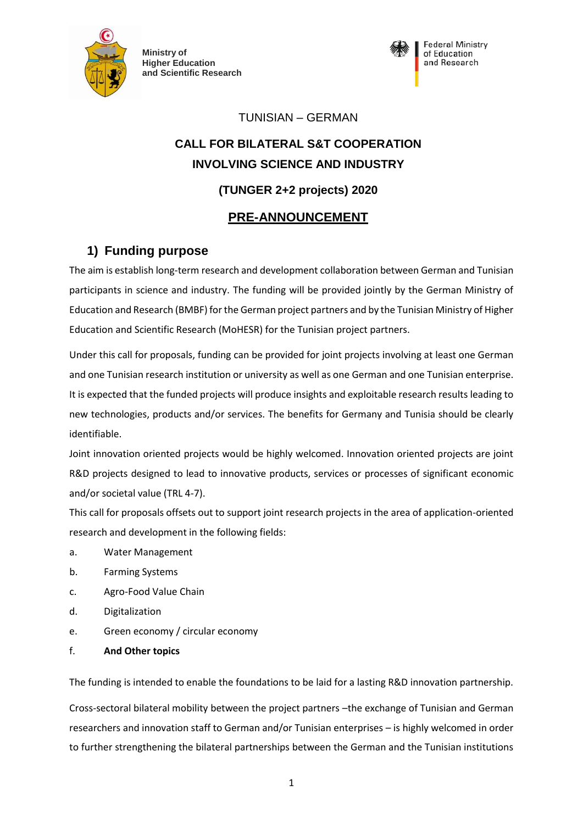

**Ministry of Higher Education and Scientific Research**



## TUNISIAN – GERMAN

# **CALL FOR BILATERAL S&T COOPERATION INVOLVING SCIENCE AND INDUSTRY**

# **(TUNGER 2+2 projects) 2020**

# **PRE-ANNOUNCEMENT**

# **1) Funding purpose**

The aim is establish long-term research and development collaboration between German and Tunisian participants in science and industry. The funding will be provided jointly by the German Ministry of Education and Research (BMBF) for the German project partners and by the Tunisian Ministry of Higher Education and Scientific Research (MoHESR) for the Tunisian project partners.

Under this call for proposals, funding can be provided for joint projects involving at least one German and one Tunisian research institution or university as well as one German and one Tunisian enterprise. It is expected that the funded projects will produce insights and exploitable research results leading to new technologies, products and/or services. The benefits for Germany and Tunisia should be clearly identifiable.

Joint innovation oriented projects would be highly welcomed. Innovation oriented projects are joint R&D projects designed to lead to innovative products, services or processes of significant economic and/or societal value (TRL 4-7).

This call for proposals offsets out to support joint research projects in the area of application-oriented research and development in the following fields:

- a. Water Management
- b. Farming Systems
- c. Agro-Food Value Chain
- d. Digitalization
- e. Green economy / circular economy
- f. **And Other topics**

The funding is intended to enable the foundations to be laid for a lasting R&D innovation partnership.

Cross-sectoral bilateral mobility between the project partners –the exchange of Tunisian and German researchers and innovation staff to German and/or Tunisian enterprises – is highly welcomed in order to further strengthening the bilateral partnerships between the German and the Tunisian institutions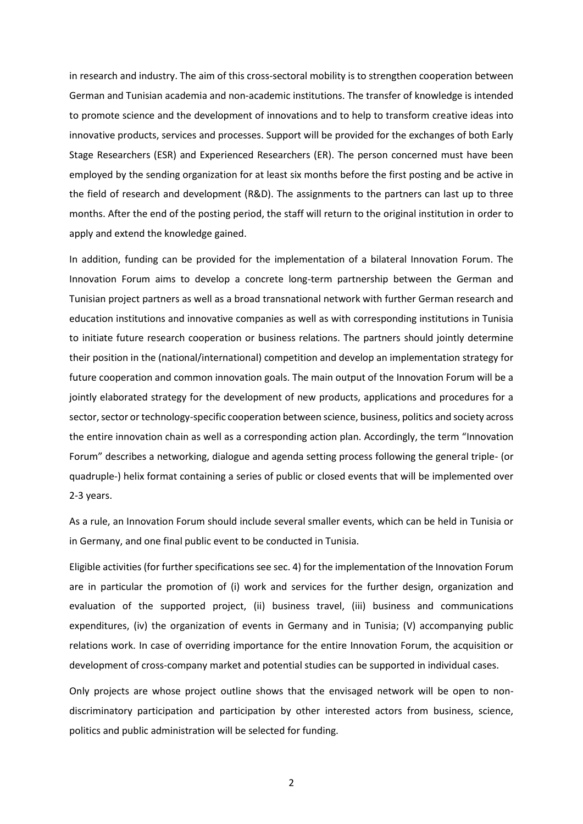in research and industry. The aim of this cross-sectoral mobility is to strengthen cooperation between German and Tunisian academia and non-academic institutions. The transfer of knowledge is intended to promote science and the development of innovations and to help to transform creative ideas into innovative products, services and processes. Support will be provided for the exchanges of both Early Stage Researchers (ESR) and Experienced Researchers (ER). The person concerned must have been employed by the sending organization for at least six months before the first posting and be active in the field of research and development (R&D). The assignments to the partners can last up to three months. After the end of the posting period, the staff will return to the original institution in order to apply and extend the knowledge gained.

In addition, funding can be provided for the implementation of a bilateral Innovation Forum. The Innovation Forum aims to develop a concrete long-term partnership between the German and Tunisian project partners as well as a broad transnational network with further German research and education institutions and innovative companies as well as with corresponding institutions in Tunisia to initiate future research cooperation or business relations. The partners should jointly determine their position in the (national/international) competition and develop an implementation strategy for future cooperation and common innovation goals. The main output of the Innovation Forum will be a jointly elaborated strategy for the development of new products, applications and procedures for a sector, sector or technology-specific cooperation between science, business, politics and society across the entire innovation chain as well as a corresponding action plan. Accordingly, the term "Innovation Forum" describes a networking, dialogue and agenda setting process following the general triple- (or quadruple-) helix format containing a series of public or closed events that will be implemented over 2-3 years.

As a rule, an Innovation Forum should include several smaller events, which can be held in Tunisia or in Germany, and one final public event to be conducted in Tunisia.

Eligible activities (for further specifications see sec. 4) for the implementation of the Innovation Forum are in particular the promotion of (i) work and services for the further design, organization and evaluation of the supported project, (ii) business travel, (iii) business and communications expenditures, (iv) the organization of events in Germany and in Tunisia; (V) accompanying public relations work. In case of overriding importance for the entire Innovation Forum, the acquisition or development of cross-company market and potential studies can be supported in individual cases.

Only projects are whose project outline shows that the envisaged network will be open to nondiscriminatory participation and participation by other interested actors from business, science, politics and public administration will be selected for funding.

2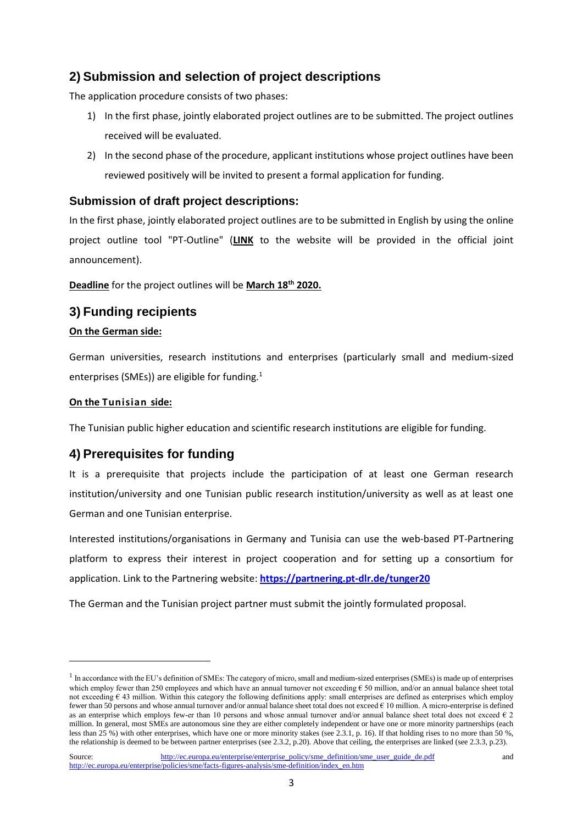# **2) Submission and selection of project descriptions**

The application procedure consists of two phases:

- 1) In the first phase, jointly elaborated project outlines are to be submitted. The project outlines received will be evaluated.
- 2) In the second phase of the procedure, applicant institutions whose project outlines have been reviewed positively will be invited to present a formal application for funding.

## **Submission of draft project descriptions:**

In the first phase, jointly elaborated project outlines are to be submitted in English by using the online project outline tool "PT-Outline" (**LINK** to the website will be provided in the official joint announcement).

**Deadline** for the project outlines will be **March 18th 2020.**

## **3) Funding recipients**

#### **On the German side:**

German universities, research institutions and enterprises (particularly small and medium-sized enterprises (SMEs)) are eligible for funding.<sup>1</sup>

#### **On the Tunisian side:**

 $\overline{a}$ 

The Tunisian public higher education and scientific research institutions are eligible for funding.

# **4) Prerequisites for funding**

It is a prerequisite that projects include the participation of at least one German research institution/university and one Tunisian public research institution/university as well as at least one German and one Tunisian enterprise.

Interested institutions/organisations in Germany and Tunisia can use the web-based PT-Partnering platform to express their interest in project cooperation and for setting up a consortium for application. Link to the Partnering website: **https://partnering.pt-dlr.de/tunger20**

The German and the Tunisian project partner must submit the jointly formulated proposal.

 $<sup>1</sup>$  In accordance with the EU's definition of SMEs: The category of micro, small and medium-sized enterprises (SMEs) is made up of enterprises</sup> which employ fewer than 250 employees and which have an annual turnover not exceeding  $\epsilon$  50 million, and/or an annual balance sheet total not exceeding  $\epsilon$  43 million. Within this category the following definitions apply: small enterprises are defined as enterprises which employ fewer than 50 persons and whose annual turnover and/or annual balance sheet total does not exceed  $\epsilon$  10 million. A micro-enterprise is defined as an enterprise which employs few-er than 10 persons and whose annual turnover and/or annual balance sheet total does not exceed  $\epsilon$  2 million. In general, most SMEs are autonomous sine they are either completely independent or have one or more minority partnerships (each less than 25 %) with other enterprises, which have one or more minority stakes (see 2.3.1, p. 16). If that holding rises to no more than 50 %, the relationship is deemed to be between partner enterprises (see 2.3.2, p.20). Above that ceiling, the enterprises are linked (see 2.3.3, p.23).

Source: [http://ec.europa.eu/enterprise/enterprise\\_policy/sme\\_definition/sme\\_user\\_guide\\_de.pdf](http://ec.europa.eu/enterprise/enterprise_policy/sme_definition/sme_user_guide_de.pdf) and [http://ec.europa.eu/enterprise/policies/sme/facts-figures-analysis/sme-definition/index\\_en.htm](http://ec.europa.eu/enterprise/policies/sme/facts-figures-analysis/sme-definition/index_en.htm)